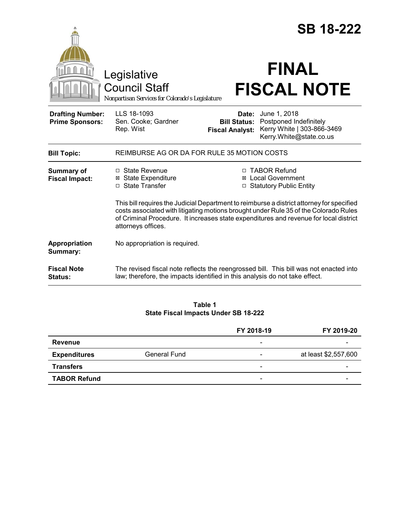|                                                   |                                                                                                                                                                                                                                                                                                  |                                                        | <b>SB 18-222</b>                                                                                |  |
|---------------------------------------------------|--------------------------------------------------------------------------------------------------------------------------------------------------------------------------------------------------------------------------------------------------------------------------------------------------|--------------------------------------------------------|-------------------------------------------------------------------------------------------------|--|
|                                                   | Legislative<br><b>Council Staff</b><br>Nonpartisan Services for Colorado's Legislature                                                                                                                                                                                                           |                                                        | <b>FINAL</b><br><b>FISCAL NOTE</b>                                                              |  |
| <b>Drafting Number:</b><br><b>Prime Sponsors:</b> | LLS 18-1093<br>Sen. Cooke; Gardner<br>Rep. Wist                                                                                                                                                                                                                                                  | Date:<br><b>Bill Status:</b><br><b>Fiscal Analyst:</b> | June 1, 2018<br>Postponed Indefinitely<br>Kerry White   303-866-3469<br>Kerry.White@state.co.us |  |
| <b>Bill Topic:</b>                                | REIMBURSE AG OR DA FOR RULE 35 MOTION COSTS                                                                                                                                                                                                                                                      |                                                        |                                                                                                 |  |
| Summary of<br><b>Fiscal Impact:</b>               | $\Box$ State Revenue<br>⊠ State Expenditure<br>□ State Transfer                                                                                                                                                                                                                                  |                                                        | □ TABOR Refund<br><b>⊠</b> Local Government<br>□ Statutory Public Entity                        |  |
|                                                   | This bill requires the Judicial Department to reimburse a district attorney for specified<br>costs associated with litigating motions brought under Rule 35 of the Colorado Rules<br>of Criminal Procedure. It increases state expenditures and revenue for local district<br>attorneys offices. |                                                        |                                                                                                 |  |
| Appropriation<br>Summary:                         | No appropriation is required.                                                                                                                                                                                                                                                                    |                                                        |                                                                                                 |  |
| <b>Fiscal Note</b><br>Status:                     | The revised fiscal note reflects the reengrossed bill. This bill was not enacted into<br>law; therefore, the impacts identified in this analysis do not take effect.                                                                                                                             |                                                        |                                                                                                 |  |

**Table 1 State Fiscal Impacts Under SB 18-222**

|                     |                     | FY 2018-19               | FY 2019-20           |
|---------------------|---------------------|--------------------------|----------------------|
| <b>Revenue</b>      |                     | -                        |                      |
| <b>Expenditures</b> | <b>General Fund</b> | -                        | at least \$2,557,600 |
| <b>Transfers</b>    |                     | $\overline{\phantom{a}}$ | -                    |
| <b>TABOR Refund</b> |                     | $\overline{\phantom{0}}$ |                      |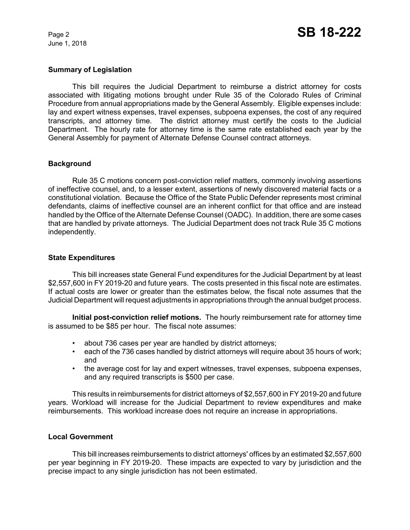June 1, 2018

## **Summary of Legislation**

This bill requires the Judicial Department to reimburse a district attorney for costs associated with litigating motions brought under Rule 35 of the Colorado Rules of Criminal Procedure from annual appropriations made by the General Assembly. Eligible expenses include: lay and expert witness expenses, travel expenses, subpoena expenses, the cost of any required transcripts, and attorney time. The district attorney must certify the costs to the Judicial Department. The hourly rate for attorney time is the same rate established each year by the General Assembly for payment of Alternate Defense Counsel contract attorneys.

### **Background**

Rule 35 C motions concern post-conviction relief matters, commonly involving assertions of ineffective counsel, and, to a lesser extent, assertions of newly discovered material facts or a constitutional violation. Because the Office of the State Public Defender represents most criminal defendants, claims of ineffective counsel are an inherent conflict for that office and are instead handled by the Office of the Alternate Defense Counsel (OADC). In addition, there are some cases that are handled by private attorneys. The Judicial Department does not track Rule 35 C motions independently.

### **State Expenditures**

This bill increases state General Fund expenditures for the Judicial Department by at least \$2,557,600 in FY 2019-20 and future years. The costs presented in this fiscal note are estimates. If actual costs are lower or greater than the estimates below, the fiscal note assumes that the Judicial Department will request adjustments in appropriations through the annual budget process.

**Initial post-conviction relief motions.** The hourly reimbursement rate for attorney time is assumed to be \$85 per hour. The fiscal note assumes:

- about 736 cases per year are handled by district attorneys;
- each of the 736 cases handled by district attorneys will require about 35 hours of work; and
- the average cost for lay and expert witnesses, travel expenses, subpoena expenses, and any required transcripts is \$500 per case.

This results in reimbursements for district attorneys of \$2,557,600 in FY 2019-20 and future years. Workload will increase for the Judicial Department to review expenditures and make reimbursements. This workload increase does not require an increase in appropriations.

#### **Local Government**

This bill increases reimbursements to district attorneys' offices by an estimated \$2,557,600 per year beginning in FY 2019-20. These impacts are expected to vary by jurisdiction and the precise impact to any single jurisdiction has not been estimated.